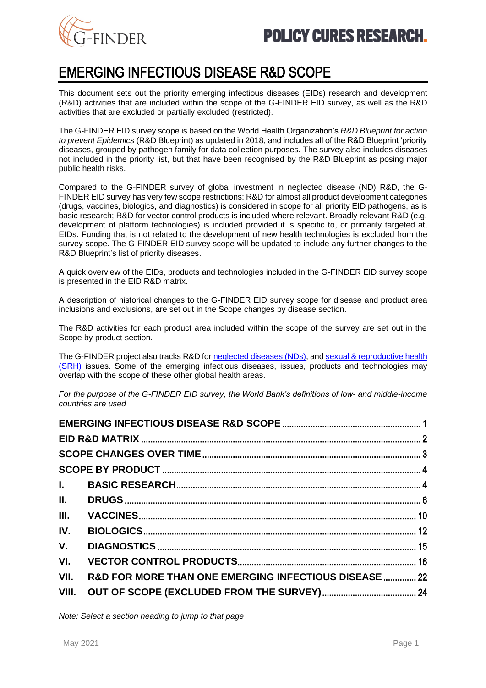<span id="page-0-1"></span>

# <span id="page-0-0"></span>EMERGING INFECTIOUS DISEASE R&D SCOPE

This document sets out the priority emerging infectious diseases (EIDs) research and development (R&D) activities that are included within the scope of the G-FINDER EID survey, as well as the R&D activities that are excluded or partially excluded (restricted).

The G-FINDER EID survey scope is based on the World Health Organization's *R&D Blueprint for action to prevent Epidemics* (R&D Blueprint) as updated in 2018, and includes all of the R&D Blueprint 'priority diseases, grouped by pathogen family for data collection purposes. The survey also includes diseases not included in the priority list, but that have been recognised by the R&D Blueprint as posing major public health risks.

Compared to the G-FINDER survey of global investment in neglected disease (ND) R&D, the G-FINDER EID survey has very few scope restrictions: R&D for almost all product development categories (drugs, vaccines, biologics, and diagnostics) is considered in scope for all priority EID pathogens, as is basic research; R&D for vector control products is included where relevant. Broadly-relevant R&D (e.g. development of platform technologies) is included provided it is specific to, or primarily targeted at, EIDs. Funding that is not related to the development of new health technologies is excluded from the survey scope. The G-FINDER EID survey scope will be updated to include any further changes to the R&D Blueprint's list of priority diseases.

A quick overview of the EIDs, products and technologies included in the G-FINDER EID survey scope is presented in the EID R&D matrix.

A description of historical changes to the G-FINDER EID survey scope for disease and product area inclusions and exclusions, are set out in the Scope changes by disease section.

The R&D activities for each product area included within the scope of the survey are set out in the Scope by product section.

The G-FINDER project also tracks R&D for [neglected diseases](https://gfinder.policycuresresearch.org/staticContent/pdf/G-FINDER_ND_R%26D_scope.pdf) (NDs), and sexual & [reproductive health](https://gfinder.policycuresresearch.org/staticContent/pdf/SRH_R%26D_scope.pdf)  [\(SRH\)](https://gfinder.policycuresresearch.org/staticContent/pdf/SRH_R%26D_scope.pdf) issues. Some of the emerging infectious diseases, issues, products and technologies may overlap with the scope of these other global health areas.

*For the purpose of the G-FINDER EID survey, the World Bank's definitions of low- and middle-income countries are used*

| L.          |                                                       |  |  |  |  |  |
|-------------|-------------------------------------------------------|--|--|--|--|--|
| II.         |                                                       |  |  |  |  |  |
| III.        |                                                       |  |  |  |  |  |
| IV.         |                                                       |  |  |  |  |  |
| $V_{\cdot}$ |                                                       |  |  |  |  |  |
| VI.         |                                                       |  |  |  |  |  |
| VII.        | R&D FOR MORE THAN ONE EMERGING INFECTIOUS DISEASE  22 |  |  |  |  |  |
|             |                                                       |  |  |  |  |  |

*Note: Select a section heading to jump to that page*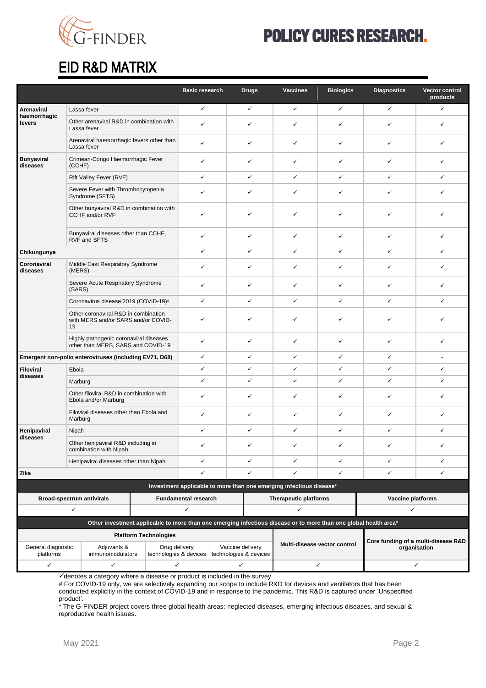

# <span id="page-1-0"></span>EID R&D MATRIX

|                                                                                    |                                                                                                                  |                                      | <b>Basic research</b>       |  | <b>Drugs</b>                | <b>Vaccines</b>                                                     | <b>Biologics</b> | <b>Diagnostics</b>                                  | Vector control<br>products |
|------------------------------------------------------------------------------------|------------------------------------------------------------------------------------------------------------------|--------------------------------------|-----------------------------|--|-----------------------------|---------------------------------------------------------------------|------------------|-----------------------------------------------------|----------------------------|
| Arenaviral                                                                         | Lassa fever                                                                                                      |                                      | $\checkmark$                |  | $\checkmark$                | $\checkmark$                                                        | $\checkmark$     | $\checkmark$                                        | $\checkmark$               |
| haemorrhagic<br>fevers                                                             | Other arenaviral R&D in combination with<br>Lassa fever                                                          |                                      |                             |  | ✓                           | ✓                                                                   | ✓                | ✓                                                   | ✓                          |
|                                                                                    | Arenaviral haemorrhagic fevers other than<br>Lassa fever                                                         |                                      | ✓                           |  | $\checkmark$                | ✓                                                                   | ✓                | ✓                                                   | ✓                          |
| <b>Bunyaviral</b><br>diseases                                                      | Crimean-Congo Haemorrhagic Fever<br>(CCHF)                                                                       |                                      | ✓                           |  | $\checkmark$                | ✓                                                                   | ✓                | $\checkmark$                                        | ✓                          |
|                                                                                    | Rift Valley Fever (RVF)                                                                                          |                                      |                             |  | ✓                           | ✓                                                                   | ✓                | $\checkmark$                                        | ✓                          |
|                                                                                    | Syndrome (SFTS)                                                                                                  | Severe Fever with Thrombocytopenia   |                             |  | ✓                           | ✓                                                                   | ✓                | ✓                                                   | ✓                          |
|                                                                                    | Other bunyaviral R&D in combination with<br>CCHF and/or RVF                                                      |                                      | ✓                           |  | ✓                           | ✓                                                                   | ✓                | ✓                                                   | ✓                          |
|                                                                                    | <b>RVF and SFTS</b>                                                                                              | Bunyaviral diseases other than CCHF, |                             |  | $\checkmark$                | ✓                                                                   | ✓                | ✓                                                   | ✓                          |
| Chikungunya                                                                        |                                                                                                                  |                                      |                             |  | $\checkmark$                | ✓                                                                   | ✓                | ✓                                                   | ✓                          |
| Coronaviral<br>diseases                                                            | (MERS)                                                                                                           | Middle East Respiratory Syndrome     |                             |  | ✓                           | ✓                                                                   | ✓                | ✓                                                   | ✓                          |
|                                                                                    | (SARS)                                                                                                           | Severe Acute Respiratory Syndrome    |                             |  | ✓                           | ✓                                                                   | ✓                | ✓                                                   | ✓                          |
|                                                                                    |                                                                                                                  | Coronavirus disease 2019 (COVID-19)# |                             |  | ✓                           | ✓                                                                   | ✓                | ✓                                                   | ✓                          |
|                                                                                    | Other coronaviral R&D in combination<br>with MERS and/or SARS and/or COVID-<br>19                                |                                      | ✓                           |  | ✓                           | ✓                                                                   | ✓                | ✓                                                   |                            |
|                                                                                    | Highly pathogenic coronaviral diseases<br>other than MERS, SARS and COVID-19                                     |                                      | ✓                           |  | $\checkmark$                | ✓                                                                   | ✓                | ✓                                                   | ✓                          |
|                                                                                    | Emergent non-polio enteroviruses (including EV71, D68)                                                           |                                      | ✓                           |  | $\checkmark$                | ✓                                                                   | ✓                | ✓                                                   | $\sim$                     |
| <b>Filoviral</b>                                                                   | Ebola                                                                                                            |                                      | ✓                           |  | ✓                           | ✓                                                                   | ✓                | $\checkmark$                                        | ✓                          |
| diseases                                                                           | Marburg                                                                                                          |                                      | ✓                           |  | ✓                           | ✓                                                                   | ✓                | ✓                                                   | ✓                          |
|                                                                                    | Other filoviral R&D in combination with<br>Ebola and/or Marburg                                                  |                                      | ✓                           |  | $\checkmark$                | ✓                                                                   | ✓                | ✓                                                   | ✓                          |
|                                                                                    | Filoviral diseases other than Ebola and<br>Marburg                                                               |                                      |                             |  | $\checkmark$                | ✓                                                                   | ✓                | ✓                                                   | ✓                          |
| Henipaviral<br>diseases                                                            | Nipah                                                                                                            |                                      | ✓                           |  | ✓                           | ✓                                                                   | ✓                | ✓                                                   | ✓                          |
|                                                                                    | Other henipaviral R&D including in<br>combination with Nipah                                                     |                                      |                             |  | $\checkmark$                | $\checkmark$                                                        | ✓                | ✓                                                   | ✓                          |
|                                                                                    | Henipaviral diseases other than Nipah                                                                            | ✓                                    |                             |  | $\checkmark$                | $\checkmark$                                                        | ✓                | $\checkmark$                                        | ✓                          |
| Zika                                                                               |                                                                                                                  |                                      | ✓                           |  | ✓                           | ✓                                                                   | ✓                | ✓                                                   | ✓                          |
|                                                                                    |                                                                                                                  |                                      |                             |  |                             | Investment applicable to more than one emerging infectious disease* |                  |                                                     |                            |
| Broad-spectrum antivirals                                                          |                                                                                                                  |                                      | <b>Fundamental research</b> |  | Therapeutic platforms       |                                                                     |                  | Vaccine platforms                                   |                            |
|                                                                                    | $\checkmark$                                                                                                     | $\checkmark$                         |                             |  | ✓                           |                                                                     | ✓                |                                                     |                            |
|                                                                                    | Other investment applicable to more than one emerging infectious disease or to more than one global health area* |                                      |                             |  |                             |                                                                     |                  |                                                     |                            |
| <b>Platform Technologies</b><br>General diagnostic<br>Drug delivery<br>Adjuvants & |                                                                                                                  |                                      | Vaccine delivery            |  |                             | Multi-disease vector control                                        |                  | Core funding of a multi-disease R&D<br>organisation |                            |
| platforms<br>$\checkmark$                                                          | immunomodulators<br>$\checkmark$                                                                                 | $\checkmark$                         | technologies & devices      |  | technologies & devices<br>✓ |                                                                     | $\checkmark$     | $\checkmark$                                        |                            |

✓denotes a category where a disease or product is included in the survey

# For COVID-19 only, we are selectively expanding our scope to include R&D for devices and ventilators that has been conducted explicitly in the context of COVID-19 and in response to the pandemic. This R&D is captured under 'Unspecified product'.

\* The G-FINDER project covers three global health areas: neglected diseases, emerging infectious diseases, and sexual & reproductive health issues.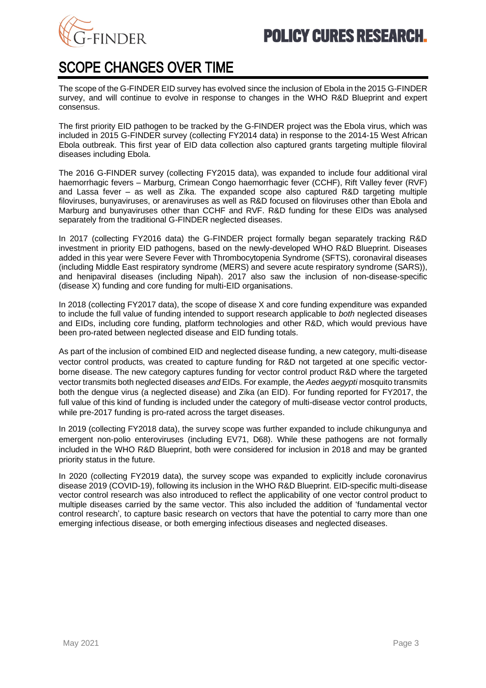

# <span id="page-2-0"></span>SCOPE CHANGES OVER TIME

The scope of the G-FINDER EID survey has evolved since the inclusion of Ebola in the 2015 G-FINDER survey, and will continue to evolve in response to changes in the WHO R&D Blueprint and expert consensus.

The first priority EID pathogen to be tracked by the G-FINDER project was the Ebola virus, which was included in 2015 G-FINDER survey (collecting FY2014 data) in response to the 2014-15 West African Ebola outbreak. This first year of EID data collection also captured grants targeting multiple filoviral diseases including Ebola.

The 2016 G-FINDER survey (collecting FY2015 data), was expanded to include four additional viral haemorrhagic fevers – Marburg, Crimean Congo haemorrhagic fever (CCHF), Rift Valley fever (RVF) and Lassa fever – as well as Zika. The expanded scope also captured R&D targeting multiple filoviruses, bunyaviruses, or arenaviruses as well as R&D focused on filoviruses other than Ebola and Marburg and bunyaviruses other than CCHF and RVF. R&D funding for these EIDs was analysed separately from the traditional G-FINDER neglected diseases.

In 2017 (collecting FY2016 data) the G-FINDER project formally began separately tracking R&D investment in priority EID pathogens, based on the newly-developed WHO R&D Blueprint. Diseases added in this year were Severe Fever with Thrombocytopenia Syndrome (SFTS), coronaviral diseases (including Middle East respiratory syndrome (MERS) and severe acute respiratory syndrome (SARS)), and henipaviral diseases (including Nipah). 2017 also saw the inclusion of non-disease-specific (disease X) funding and core funding for multi-EID organisations.

In 2018 (collecting FY2017 data), the scope of disease X and core funding expenditure was expanded to include the full value of funding intended to support research applicable to *both* neglected diseases and EIDs, including core funding, platform technologies and other R&D, which would previous have been pro-rated between neglected disease and EID funding totals.

As part of the inclusion of combined EID and neglected disease funding, a new category, multi-disease vector control products, was created to capture funding for R&D not targeted at one specific vectorborne disease. The new category captures funding for vector control product R&D where the targeted vector transmits both neglected diseases *and* EIDs. For example, the *Aedes aegypti* mosquito transmits both the dengue virus (a neglected disease) and Zika (an EID). For funding reported for FY2017, the full value of this kind of funding is included under the category of multi-disease vector control products, while pre-2017 funding is pro-rated across the target diseases.

In 2019 (collecting FY2018 data), the survey scope was further expanded to include chikungunya and emergent non-polio enteroviruses (including EV71, D68). While these pathogens are not formally included in the WHO R&D Blueprint, both were considered for inclusion in 2018 and may be granted priority status in the future.

In 2020 (collecting FY2019 data), the survey scope was expanded to explicitly include coronavirus disease 2019 (COVID-19), following its inclusion in the WHO R&D Blueprint. EID-specific multi-disease vector control research was also introduced to reflect the applicability of one vector control product to multiple diseases carried by the same vector. This also included the addition of 'fundamental vector control research', to capture basic research on vectors that have the potential to carry more than one emerging infectious disease, or both emerging infectious diseases and neglected diseases.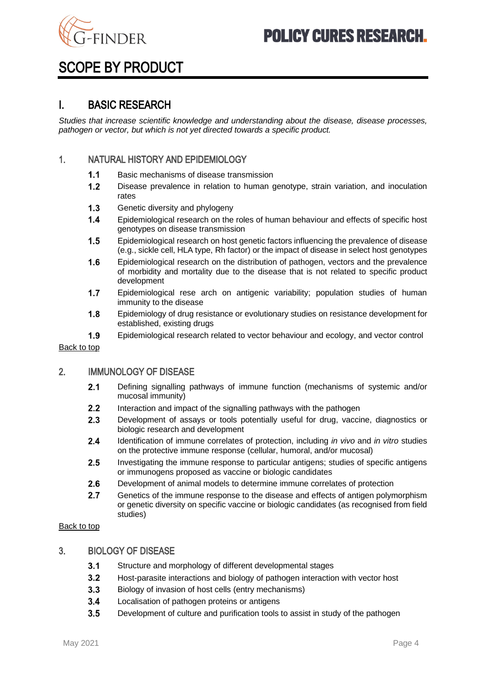

# <span id="page-3-0"></span>SCOPE BY PRODUCT

# <span id="page-3-1"></span>I. BASIC RESEARCH

*Studies that increase scientific knowledge and understanding about the disease, disease processes, pathogen or vector, but which is not yet directed towards a specific product.*

# 1. NATURAL HISTORY AND EPIDEMIOLOGY

- $1.1$ Basic mechanisms of disease transmission
- $1.2$ Disease prevalence in relation to human genotype, strain variation, and inoculation rates
- $1.3$ Genetic diversity and phylogeny
- Epidemiological research on the roles of human behaviour and effects of specific host  $1.4$ genotypes on disease transmission
- $1.5$ Epidemiological research on host genetic factors influencing the prevalence of disease (e.g., sickle cell, HLA type, Rh factor) or the impact of disease in select host genotypes
- $1.6$ Epidemiological research on the distribution of pathogen, vectors and the prevalence of morbidity and mortality due to the disease that is not related to specific product development
- $1.7$ Epidemiological rese arch on antigenic variability; population studies of human immunity to the disease
- $1.8$ Epidemiology of drug resistance or evolutionary studies on resistance development for established, existing drugs
- $1.9$ Epidemiological research related to vector behaviour and ecology, and vector control

[Back to top](#page-0-1)

# 2. IMMUNOLOGY OF DISEASE

- $2.1$ Defining signalling pathways of immune function (mechanisms of systemic and/or mucosal immunity)
- $2.2$ Interaction and impact of the signalling pathways with the pathogen
- $2.3$ Development of assays or tools potentially useful for drug, vaccine, diagnostics or biologic research and development
- $2.4$ Identification of immune correlates of protection, including *in vivo* and *in vitro* studies on the protective immune response (cellular, humoral, and/or mucosal)
- $2.5$ Investigating the immune response to particular antigens; studies of specific antigens or immunogens proposed as vaccine or biologic candidates
- $2.6$ Development of animal models to determine immune correlates of protection
- $2.7$ Genetics of the immune response to the disease and effects of antigen polymorphism or genetic diversity on specific vaccine or biologic candidates (as recognised from field studies)

[Back to top](#page-0-1)

# 3. BIOLOGY OF DISEASE

- $3.1$ Structure and morphology of different developmental stages
- $3.2$ Host-parasite interactions and biology of pathogen interaction with vector host
- $3.3$ Biology of invasion of host cells (entry mechanisms)
- $3.4$ Localisation of pathogen proteins or antigens
- $3.5$ Development of culture and purification tools to assist in study of the pathogen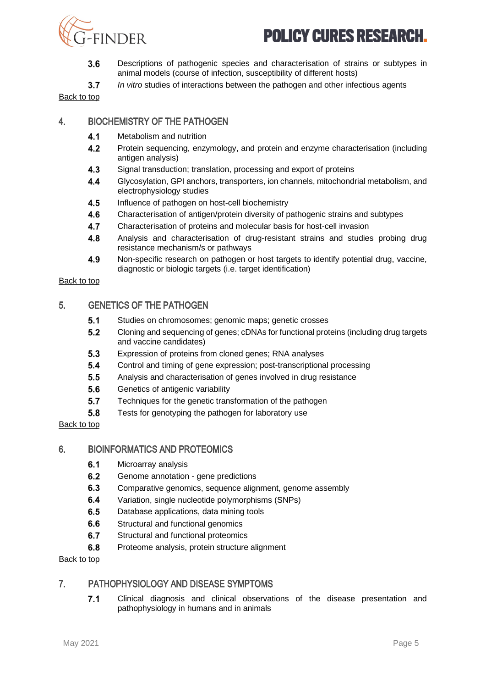

- $3.6$ Descriptions of pathogenic species and characterisation of strains or subtypes in animal models (course of infection, susceptibility of different hosts)
- *In vitro* studies of interactions between the pathogen and other infectious agents  $3.7$

## [Back to top](#page-0-1)

# 4. BIOCHEMISTRY OF THE PATHOGEN

- $4.1$ Metabolism and nutrition
- $4.2$ Protein sequencing, enzymology, and protein and enzyme characterisation (including antigen analysis)
- $4.3$ Signal transduction; translation, processing and export of proteins
- 4.4 Glycosylation, GPI anchors, transporters, ion channels, mitochondrial metabolism, and electrophysiology studies
- $4.5$ Influence of pathogen on host-cell biochemistry
- 4.6 Characterisation of antigen/protein diversity of pathogenic strains and subtypes
- 4.7 Characterisation of proteins and molecular basis for host-cell invasion
- $4.8$ Analysis and characterisation of drug-resistant strains and studies probing drug resistance mechanism/s or pathways
- 4.9 Non-specific research on pathogen or host targets to identify potential drug, vaccine, diagnostic or biologic targets (i.e. target identification)

## [Back to top](#page-0-1)

# 5. GENETICS OF THE PATHOGEN

- $5.1$ Studies on chromosomes; genomic maps; genetic crosses
- $5.2$ Cloning and sequencing of genes; cDNAs for functional proteins (including drug targets and vaccine candidates)
- $5.3$ Expression of proteins from cloned genes; RNA analyses
- $5.4$ Control and timing of gene expression; post-transcriptional processing
- $5.5$ Analysis and characterisation of genes involved in drug resistance
- $5.6$ Genetics of antigenic variability
- $5.7$ Techniques for the genetic transformation of the pathogen
- $5.8$ Tests for genotyping the pathogen for laboratory use

# [Back to top](#page-0-1)

# 6. BIOINFORMATICS AND PROTEOMICS

- $6.1$ Microarray analysis
- $6.2$ Genome annotation - gene predictions
- $6.3$ Comparative genomics, sequence alignment, genome assembly
- $6.4$ Variation, single nucleotide polymorphisms (SNPs)
- 6.5 Database applications, data mining tools
- 6.6 Structural and functional genomics
- $6.7$ Structural and functional proteomics
- 6.8 Proteome analysis, protein structure alignment
- [Back to top](#page-0-1)

# 7. PATHOPHYSIOLOGY AND DISEASE SYMPTOMS

 $7.1$ Clinical diagnosis and clinical observations of the disease presentation and pathophysiology in humans and in animals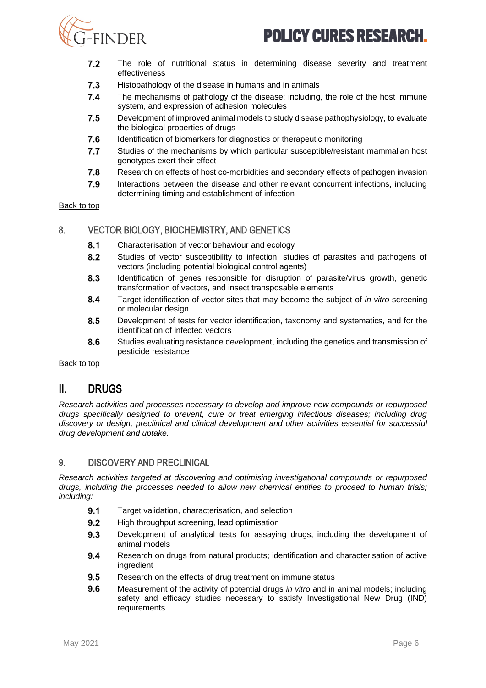



- $7.2$ The role of nutritional status in determining disease severity and treatment effectiveness
- $7.3$ Histopathology of the disease in humans and in animals
- The mechanisms of pathology of the disease; including, the role of the host immune  $74$ system, and expression of adhesion molecules
- $7.5$ Development of improved animal models to study disease pathophysiology, to evaluate the biological properties of drugs
- 7.6 Identification of biomarkers for diagnostics or therapeutic monitoring
- $7.7$ Studies of the mechanisms by which particular susceptible/resistant mammalian host genotypes exert their effect
- 7.8 Research on effects of host co-morbidities and secondary effects of pathogen invasion
- 7.9 Interactions between the disease and other relevant concurrent infections, including determining timing and establishment of infection

# 8. VECTOR BIOLOGY, BIOCHEMISTRY, AND GENETICS

- $8.1$ Characterisation of vector behaviour and ecology
- $8.2$ Studies of vector susceptibility to infection; studies of parasites and pathogens of vectors (including potential biological control agents)
- 8.3 Identification of genes responsible for disruption of parasite/virus growth, genetic transformation of vectors, and insect transposable elements
- $8.4$ Target identification of vector sites that may become the subject of *in vitro* screening or molecular design
- 8.5 Development of tests for vector identification, taxonomy and systematics, and for the identification of infected vectors
- Studies evaluating resistance development, including the genetics and transmission of 8.6 pesticide resistance

[Back to top](#page-0-1)

# <span id="page-5-0"></span>II. DRUGS

*Research activities and processes necessary to develop and improve new compounds or repurposed drugs specifically designed to prevent, cure or treat emerging infectious diseases; including drug discovery or design, preclinical and clinical development and other activities essential for successful drug development and uptake.*

# 9. DISCOVERY AND PRECLINICAL

*Research activities targeted at discovering and optimising investigational compounds or repurposed drugs, including the processes needed to allow new chemical entities to proceed to human trials; including:* 

- $9.1$ Target validation, characterisation, and selection
- $9.2$ High throughput screening, lead optimisation
- $9.3$ Development of analytical tests for assaying drugs, including the development of animal models
- $9.4$ Research on drugs from natural products; identification and characterisation of active ingredient
- $9.5$ Research on the effects of drug treatment on immune status
- 9.6 Measurement of the activity of potential drugs *in vitro* and in animal models; including safety and efficacy studies necessary to satisfy Investigational New Drug (IND) requirements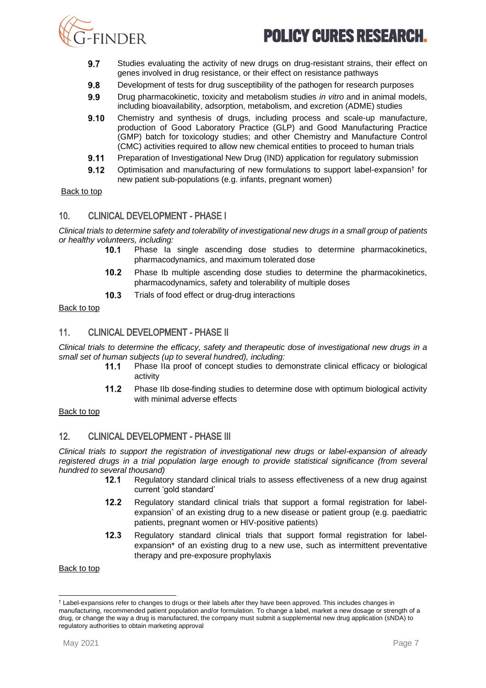



- $9.7$ Studies evaluating the activity of new drugs on drug-resistant strains, their effect on genes involved in drug resistance, or their effect on resistance pathways
- 9.8 Development of tests for drug susceptibility of the pathogen for research purposes
- Drug pharmacokinetic, toxicity and metabolism studies *in vitro* and in animal models, 9.9 including bioavailability, adsorption, metabolism, and excretion (ADME) studies
- $9.10$ Chemistry and synthesis of drugs, including process and scale-up manufacture, production of Good Laboratory Practice (GLP) and Good Manufacturing Practice (GMP) batch for toxicology studies; and other Chemistry and Manufacture Control (CMC) activities required to allow new chemical entities to proceed to human trials
- 9.11 Preparation of Investigational New Drug (IND) application for regulatory submission
- $9.12$ Optimisation and manufacturing of new formulations to support label-expansion† for new patient sub-populations (e.g. infants, pregnant women)

# 10. CLINICAL DEVELOPMENT - PHASE I

*Clinical trials to determine safety and tolerability of investigational new drugs in a small group of patients or healthy volunteers, including:*

- $10.1$ Phase Ia single ascending dose studies to determine pharmacokinetics, pharmacodynamics, and maximum tolerated dose
- $10.2$ Phase Ib multiple ascending dose studies to determine the pharmacokinetics, pharmacodynamics, safety and tolerability of multiple doses
- $10.3$ Trials of food effect or drug-drug interactions

## [Back to top](#page-0-1)

# 11. CLINICAL DEVELOPMENT - PHASE II

*Clinical trials to determine the efficacy, safety and therapeutic dose of investigational new drugs in a small set of human subjects (up to several hundred), including:*

- $11.1$ Phase IIa proof of concept studies to demonstrate clinical efficacy or biological activity
- $11.2$ Phase IIb dose-finding studies to determine dose with optimum biological activity with minimal adverse effects

## [Back to top](#page-0-1)

# 12. CLINICAL DEVELOPMENT - PHASE III

*Clinical trials to support the registration of investigational new drugs or label-expansion of already registered drugs in a trial population large enough to provide statistical significance (from several hundred to several thousand)*

- $12.1$ Regulatory standard clinical trials to assess effectiveness of a new drug against current 'gold standard'
- $12.2$ Regulatory standard clinical trials that support a formal registration for labelexpansion<sup>\*</sup> of an existing drug to a new disease or patient group (e.g. paediatric patients, pregnant women or HIV-positive patients)
- $12.3$ Regulatory standard clinical trials that support formal registration for labelexpansion\* of an existing drug to a new use, such as intermittent preventative therapy and pre-exposure prophylaxis

<sup>†</sup> Label-expansions refer to changes to drugs or their labels after they have been approved. This includes changes in manufacturing, recommended patient population and/or formulation. To change a label, market a new dosage or strength of a drug, or change the way a drug is manufactured, the company must submit a supplemental new drug application (sNDA) to regulatory authorities to obtain marketing approval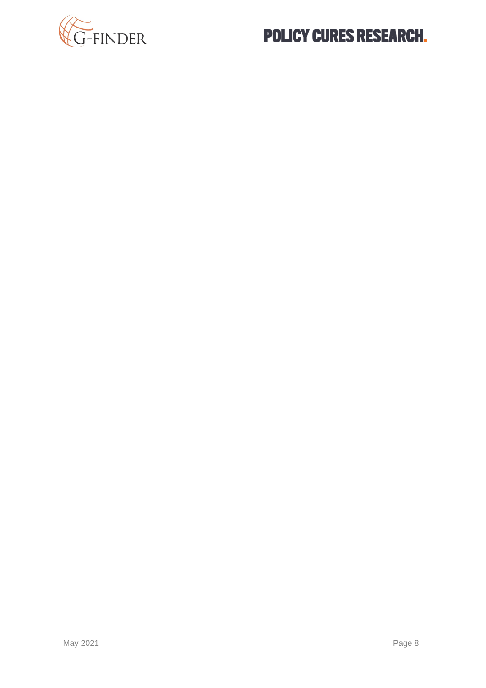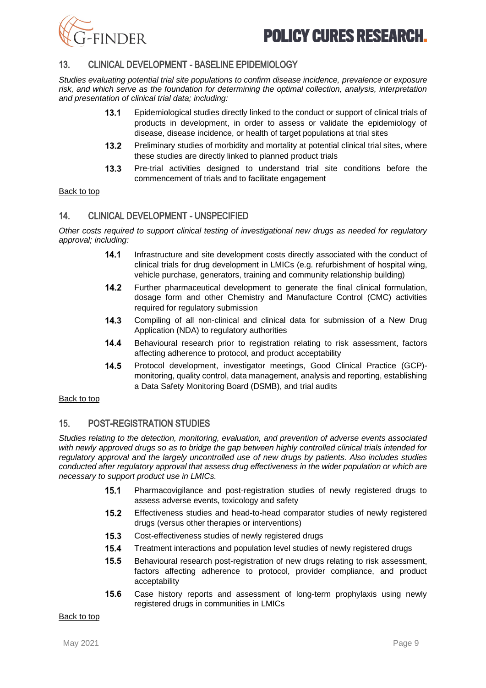

# 13. CLINICAL DEVELOPMENT - BASELINE EPIDEMIOLOGY

*Studies evaluating potential trial site populations to confirm disease incidence, prevalence or exposure risk, and which serve as the foundation for determining the optimal collection, analysis, interpretation and presentation of clinical trial data; including:* 

- $13.1$ Epidemiological studies directly linked to the conduct or support of clinical trials of products in development, in order to assess or validate the epidemiology of disease, disease incidence, or health of target populations at trial sites
- $13.2$ Preliminary studies of morbidity and mortality at potential clinical trial sites, where these studies are directly linked to planned product trials
- $13.3$ Pre-trial activities designed to understand trial site conditions before the commencement of trials and to facilitate engagement

# [Back to top](#page-0-1)

# 14. CLINICAL DEVELOPMENT - UNSPECIFIED

*Other costs required to support clinical testing of investigational new drugs as needed for regulatory approval; including:* 

- $14.1$ Infrastructure and site development costs directly associated with the conduct of clinical trials for drug development in LMICs (e.g. refurbishment of hospital wing, vehicle purchase, generators, training and community relationship building)
- $14.2$ Further pharmaceutical development to generate the final clinical formulation, dosage form and other Chemistry and Manufacture Control (CMC) activities required for regulatory submission
- $14.3$ Compiling of all non-clinical and clinical data for submission of a New Drug Application (NDA) to regulatory authorities
- $14.4$ Behavioural research prior to registration relating to risk assessment, factors affecting adherence to protocol, and product acceptability
- $14.5$ Protocol development, investigator meetings, Good Clinical Practice (GCP) monitoring, quality control, data management, analysis and reporting, establishing a Data Safety Monitoring Board (DSMB), and trial audits

## [Back to top](#page-0-1)

# 15. POST-REGISTRATION STUDIES

*Studies relating to the detection, monitoring, evaluation, and prevention of adverse events associated with newly approved drugs so as to bridge the gap between highly controlled clinical trials intended for regulatory approval and the largely uncontrolled use of new drugs by patients. Also includes studies conducted after regulatory approval that assess drug effectiveness in the wider population or which are necessary to support product use in LMICs.* 

- $15.1$ Pharmacovigilance and post-registration studies of newly registered drugs to assess adverse events, toxicology and safety
- $15.2$ Effectiveness studies and head-to-head comparator studies of newly registered drugs (versus other therapies or interventions)
- $15.3$ Cost-effectiveness studies of newly registered drugs
- $15.4$ Treatment interactions and population level studies of newly registered drugs
- $15.5$ Behavioural research post-registration of new drugs relating to risk assessment, factors affecting adherence to protocol, provider compliance, and product acceptability
- 15.6 Case history reports and assessment of long-term prophylaxis using newly registered drugs in communities in LMICs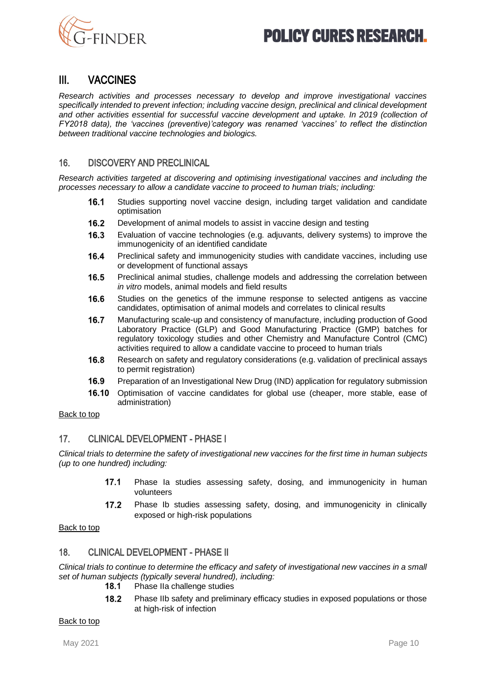

# <span id="page-9-0"></span>III. VACCINES

*Research activities and processes necessary to develop and improve investigational vaccines specifically intended to prevent infection; including vaccine design, preclinical and clinical development and other activities essential for successful vaccine development and uptake. In 2019 (collection of FY2018 data), the 'vaccines (preventive)'category was renamed 'vaccines' to reflect the distinction between traditional vaccine technologies and biologics.*

# 16. DISCOVERY AND PRECLINICAL

*Research activities targeted at discovering and optimising investigational vaccines and including the processes necessary to allow a candidate vaccine to proceed to human trials; including:* 

- $16.1$ Studies supporting novel vaccine design, including target validation and candidate optimisation
- $16.2$ Development of animal models to assist in vaccine design and testing
- $16.3$ Evaluation of vaccine technologies (e.g. adjuvants, delivery systems) to improve the immunogenicity of an identified candidate
- $16.4$ Preclinical safety and immunogenicity studies with candidate vaccines, including use or development of functional assays
- 16.5 Preclinical animal studies, challenge models and addressing the correlation between *in vitro* models, animal models and field results
- 16.6 Studies on the genetics of the immune response to selected antigens as vaccine candidates, optimisation of animal models and correlates to clinical results
- $16.7$ Manufacturing scale-up and consistency of manufacture, including production of Good Laboratory Practice (GLP) and Good Manufacturing Practice (GMP) batches for regulatory toxicology studies and other Chemistry and Manufacture Control (CMC) activities required to allow a candidate vaccine to proceed to human trials
- 16.8 Research on safety and regulatory considerations (e.g. validation of preclinical assays to permit registration)
- 16.9 Preparation of an Investigational New Drug (IND) application for regulatory submission
- 16.10 Optimisation of vaccine candidates for global use (cheaper, more stable, ease of administration)

## [Back to top](#page-0-1)

# 17. CLINICAL DEVELOPMENT - PHASE I

*Clinical trials to determine the safety of investigational new vaccines for the first time in human subjects (up to one hundred) including:*

- $17.1$ Phase Ia studies assessing safety, dosing, and immunogenicity in human volunteers
- $17.2$ Phase Ib studies assessing safety, dosing, and immunogenicity in clinically exposed or high-risk populations

## [Back to top](#page-0-1)

# 18. CLINICAL DEVELOPMENT - PHASE II

*Clinical trials to continue to determine the efficacy and safety of investigational new vaccines in a small set of human subjects (typically several hundred), including:*

- $18.1$ Phase IIa challenge studies
- $18.2$ Phase IIb safety and preliminary efficacy studies in exposed populations or those at high-risk of infection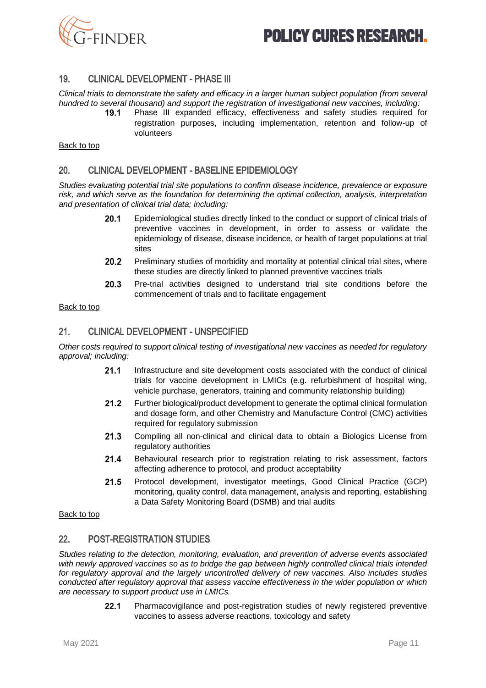

# 19. CLINICAL DEVELOPMENT - PHASE III

*Clinical trials to demonstrate the safety and efficacy in a larger human subject population (from several hundred to several thousand) and support the registration of investigational new vaccines, including:*

Phase III expanded efficacy, effectiveness and safety studies required for  $19.1$ registration purposes, including implementation, retention and follow-up of volunteers

[Back to top](#page-0-1)

# 20. CLINICAL DEVELOPMENT - BASELINE EPIDEMIOLOGY

*Studies evaluating potential trial site populations to confirm disease incidence, prevalence or exposure risk, and which serve as the foundation for determining the optimal collection, analysis, interpretation and presentation of clinical trial data; including:* 

- $20.1$ Epidemiological studies directly linked to the conduct or support of clinical trials of preventive vaccines in development, in order to assess or validate the epidemiology of disease, disease incidence, or health of target populations at trial sites
- $20.2$ Preliminary studies of morbidity and mortality at potential clinical trial sites, where these studies are directly linked to planned preventive vaccines trials
- 20.3 Pre-trial activities designed to understand trial site conditions before the commencement of trials and to facilitate engagement

## [Back to top](#page-0-1)

# 21. CLINICAL DEVELOPMENT - UNSPECIFIED

*Other costs required to support clinical testing of investigational new vaccines as needed for regulatory approval; including:*

- $21.1$ Infrastructure and site development costs associated with the conduct of clinical trials for vaccine development in LMICs (e.g. refurbishment of hospital wing, vehicle purchase, generators, training and community relationship building)
- $21.2$ Further biological/product development to generate the optimal clinical formulation and dosage form, and other Chemistry and Manufacture Control (CMC) activities required for regulatory submission
- $21.3$ Compiling all non-clinical and clinical data to obtain a Biologics License from regulatory authorities
- $21.4$ Behavioural research prior to registration relating to risk assessment, factors affecting adherence to protocol, and product acceptability
- $21.5$ Protocol development, investigator meetings, Good Clinical Practice (GCP) monitoring, quality control, data management, analysis and reporting, establishing a Data Safety Monitoring Board (DSMB) and trial audits

[Back to top](#page-0-1)

# 22. POST-REGISTRATION STUDIES

*Studies relating to the detection, monitoring, evaluation, and prevention of adverse events associated with newly approved vaccines so as to bridge the gap between highly controlled clinical trials intended for regulatory approval and the largely uncontrolled delivery of new vaccines. Also includes studies conducted after regulatory approval that assess vaccine effectiveness in the wider population or which are necessary to support product use in LMICs.* 

> $22.1$ Pharmacovigilance and post-registration studies of newly registered preventive vaccines to assess adverse reactions, toxicology and safety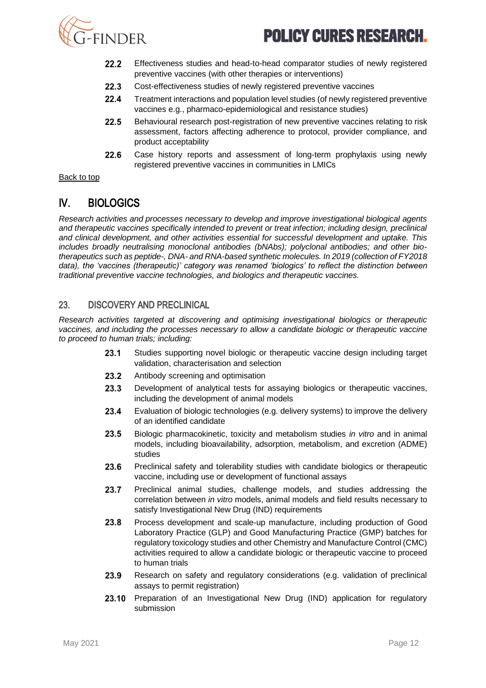



- $22.2$ Effectiveness studies and head-to-head comparator studies of newly registered preventive vaccines (with other therapies or interventions)
- $22.3$ Cost-effectiveness studies of newly registered preventive vaccines
- $22.4$ Treatment interactions and population level studies (of newly registered preventive vaccines e.g., pharmaco-epidemiological and resistance studies)
- 22.5 Behavioural research post-registration of new preventive vaccines relating to risk assessment, factors affecting adherence to protocol, provider compliance, and product acceptability
- 22.6 Case history reports and assessment of long-term prophylaxis using newly registered preventive vaccines in communities in LMICs

# <span id="page-11-0"></span>IV. BIOLOGICS

*Research activities and processes necessary to develop and improve investigational biological agents and therapeutic vaccines specifically intended to prevent or treat infection; including design, preclinical and clinical development, and other activities essential for successful development and uptake. This includes broadly neutralising monoclonal antibodies (bNAbs); polyclonal antibodies; and other biotherapeutics such as peptide-, DNA- and RNA-based synthetic molecules. In 2019 (collection of FY2018 data), the 'vaccines (therapeutic)' category was renamed 'biologics' to reflect the distinction between traditional preventive vaccine technologies, and biologics and therapeutic vaccines.*

# 23. DISCOVERY AND PRECLINICAL

*Research activities targeted at discovering and optimising investigational biologics or therapeutic vaccines, and including the processes necessary to allow a candidate biologic or therapeutic vaccine to proceed to human trials; including:*

- $23.1$ Studies supporting novel biologic or therapeutic vaccine design including target validation, characterisation and selection
- 23.2 Antibody screening and optimisation
- $23.3$ Development of analytical tests for assaying biologics or therapeutic vaccines, including the development of animal models
- $23.4$ Evaluation of biologic technologies (e.g. delivery systems) to improve the delivery of an identified candidate
- 23.5 Biologic pharmacokinetic, toxicity and metabolism studies *in vitro* and in animal models, including bioavailability, adsorption, metabolism, and excretion (ADME) studies
- 23.6 Preclinical safety and tolerability studies with candidate biologics or therapeutic vaccine, including use or development of functional assays
- 23.7 Preclinical animal studies, challenge models, and studies addressing the correlation between *in vitro* models, animal models and field results necessary to satisfy Investigational New Drug (IND) requirements
- 23.8 Process development and scale-up manufacture, including production of Good Laboratory Practice (GLP) and Good Manufacturing Practice (GMP) batches for regulatory toxicology studies and other Chemistry and Manufacture Control (CMC) activities required to allow a candidate biologic or therapeutic vaccine to proceed to human trials
- 23.9 Research on safety and regulatory considerations (e.g. validation of preclinical assays to permit registration)
- 23.10 Preparation of an Investigational New Drug (IND) application for regulatory submission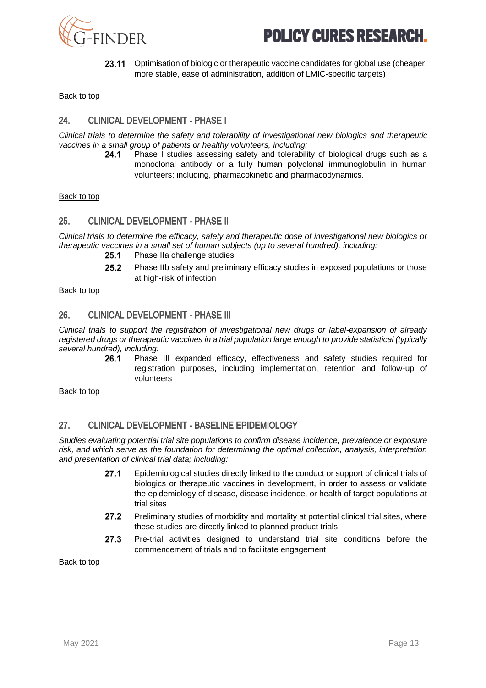

**POLICY CURES RESEARCH.** 

23.11 Optimisation of biologic or therapeutic vaccine candidates for global use (cheaper, more stable, ease of administration, addition of LMIC-specific targets)

[Back to top](#page-0-1)

# 24. CLINICAL DEVELOPMENT - PHASE I

*Clinical trials to determine the safety and tolerability of investigational new biologics and therapeutic vaccines in a small group of patients or healthy volunteers, including:*

 $24.1$ Phase I studies assessing safety and tolerability of biological drugs such as a monoclonal antibody or a fully human polyclonal immunoglobulin in human volunteers; including, pharmacokinetic and pharmacodynamics.

### [Back to top](#page-0-1)

## 25. CLINICAL DEVELOPMENT - PHASE II

*Clinical trials to determine the efficacy, safety and therapeutic dose of investigational new biologics or therapeutic vaccines in a small set of human subjects (up to several hundred), including:*

- $25.1$ Phase IIa challenge studies
- 25.2 Phase IIb safety and preliminary efficacy studies in exposed populations or those at high-risk of infection

[Back to top](#page-0-1)

# 26. CLINICAL DEVELOPMENT - PHASE III

*Clinical trials to support the registration of investigational new drugs or label-expansion of already registered drugs or therapeutic vaccines in a trial population large enough to provide statistical (typically several hundred), including:*

> $26.1$ Phase III expanded efficacy, effectiveness and safety studies required for registration purposes, including implementation, retention and follow-up of volunteers

### [Back to top](#page-0-1)

# 27. CLINICAL DEVELOPMENT - BASELINE EPIDEMIOLOGY

*Studies evaluating potential trial site populations to confirm disease incidence, prevalence or exposure risk, and which serve as the foundation for determining the optimal collection, analysis, interpretation and presentation of clinical trial data; including:* 

- $27.1$ Epidemiological studies directly linked to the conduct or support of clinical trials of biologics or therapeutic vaccines in development, in order to assess or validate the epidemiology of disease, disease incidence, or health of target populations at trial sites
- $27.2$ Preliminary studies of morbidity and mortality at potential clinical trial sites, where these studies are directly linked to planned product trials
- $27.3$ Pre-trial activities designed to understand trial site conditions before the commencement of trials and to facilitate engagement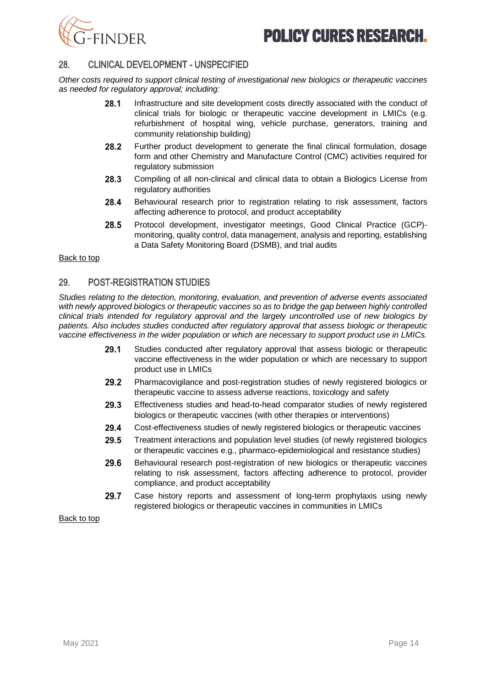

# 28. CLINICAL DEVELOPMENT - UNSPECIFIED

*Other costs required to support clinical testing of investigational new biologics or therapeutic vaccines as needed for regulatory approval; including:* 

- 28.1 Infrastructure and site development costs directly associated with the conduct of clinical trials for biologic or therapeutic vaccine development in LMICs (e.g. refurbishment of hospital wing, vehicle purchase, generators, training and community relationship building)
- 28.2 Further product development to generate the final clinical formulation, dosage form and other Chemistry and Manufacture Control (CMC) activities required for regulatory submission
- 28.3 Compiling of all non-clinical and clinical data to obtain a Biologics License from regulatory authorities
- 28.4 Behavioural research prior to registration relating to risk assessment, factors affecting adherence to protocol, and product acceptability
- 28.5 Protocol development, investigator meetings, Good Clinical Practice (GCP) monitoring, quality control, data management, analysis and reporting, establishing a Data Safety Monitoring Board (DSMB), and trial audits

[Back to top](#page-0-1)

# 29. POST-REGISTRATION STUDIES

*Studies relating to the detection, monitoring, evaluation, and prevention of adverse events associated with newly approved biologics or therapeutic vaccines so as to bridge the gap between highly controlled clinical trials intended for regulatory approval and the largely uncontrolled use of new biologics by patients. Also includes studies conducted after regulatory approval that assess biologic or therapeutic vaccine effectiveness in the wider population or which are necessary to support product use in LMICs.*

- 29.1 Studies conducted after regulatory approval that assess biologic or therapeutic vaccine effectiveness in the wider population or which are necessary to support product use in LMICs
- 29.2 Pharmacovigilance and post-registration studies of newly registered biologics or therapeutic vaccine to assess adverse reactions, toxicology and safety
- 29.3 Effectiveness studies and head-to-head comparator studies of newly registered biologics or therapeutic vaccines (with other therapies or interventions)
- 29.4 Cost-effectiveness studies of newly registered biologics or therapeutic vaccines
- 29.5 Treatment interactions and population level studies (of newly registered biologics or therapeutic vaccines e.g., pharmaco-epidemiological and resistance studies)
- 29.6 Behavioural research post-registration of new biologics or therapeutic vaccines relating to risk assessment, factors affecting adherence to protocol, provider compliance, and product acceptability
- 29.7 Case history reports and assessment of long-term prophylaxis using newly registered biologics or therapeutic vaccines in communities in LMICs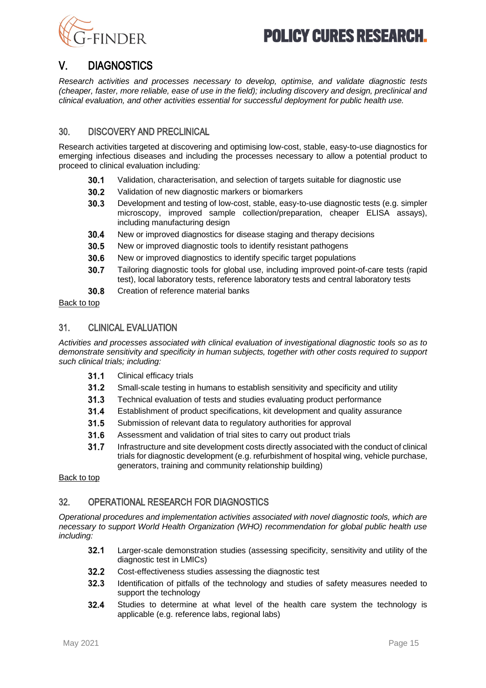



# <span id="page-14-0"></span>V. DIAGNOSTICS

*Research activities and processes necessary to develop, optimise, and validate diagnostic tests (cheaper, faster, more reliable, ease of use in the field); including discovery and design, preclinical and clinical evaluation, and other activities essential for successful deployment for public health use.* 

# 30. DISCOVERY AND PRECLINICAL

Research activities targeted at discovering and optimising low-cost, stable, easy-to-use diagnostics for emerging infectious diseases and including the processes necessary to allow a potential product to proceed to clinical evaluation including*:* 

- $30.1$ Validation, characterisation, and selection of targets suitable for diagnostic use
- $30.2$ Validation of new diagnostic markers or biomarkers
- 30.3 Development and testing of low-cost, stable, easy-to-use diagnostic tests (e.g. simpler microscopy, improved sample collection/preparation, cheaper ELISA assays), including manufacturing design
- $30.4$ New or improved diagnostics for disease staging and therapy decisions
- 30.5 New or improved diagnostic tools to identify resistant pathogens
- 30.6 New or improved diagnostics to identify specific target populations
- 30.7 Tailoring diagnostic tools for global use, including improved point-of-care tests (rapid test), local laboratory tests, reference laboratory tests and central laboratory tests
- 30.8 Creation of reference material banks

[Back to top](#page-0-1)

# 31. CLINICAL EVALUATION

*Activities and processes associated with clinical evaluation of investigational diagnostic tools so as to demonstrate sensitivity and specificity in human subjects, together with other costs required to support such clinical trials; including:* 

- $31.1$ Clinical efficacy trials
- $31.2$ Small-scale testing in humans to establish sensitivity and specificity and utility
- $31.3$ Technical evaluation of tests and studies evaluating product performance
- $31.4$ Establishment of product specifications, kit development and quality assurance
- 31.5 Submission of relevant data to regulatory authorities for approval
- $31.6$ Assessment and validation of trial sites to carry out product trials
- $31.7$ Infrastructure and site development costs directly associated with the conduct of clinical trials for diagnostic development (e.g. refurbishment of hospital wing, vehicle purchase, generators, training and community relationship building)

[Back to top](#page-0-1)

# 32. OPERATIONAL RESEARCH FOR DIAGNOSTICS

*Operational procedures and implementation activities associated with novel diagnostic tools, which are necessary to support World Health Organization (WHO) recommendation for global public health use including:* 

- $32.1$ Larger-scale demonstration studies (assessing specificity, sensitivity and utility of the diagnostic test in LMICs)
- $32.2$ Cost-effectiveness studies assessing the diagnostic test
- $32.3$ Identification of pitfalls of the technology and studies of safety measures needed to support the technology
- $32.4$ Studies to determine at what level of the health care system the technology is applicable (e.g. reference labs, regional labs)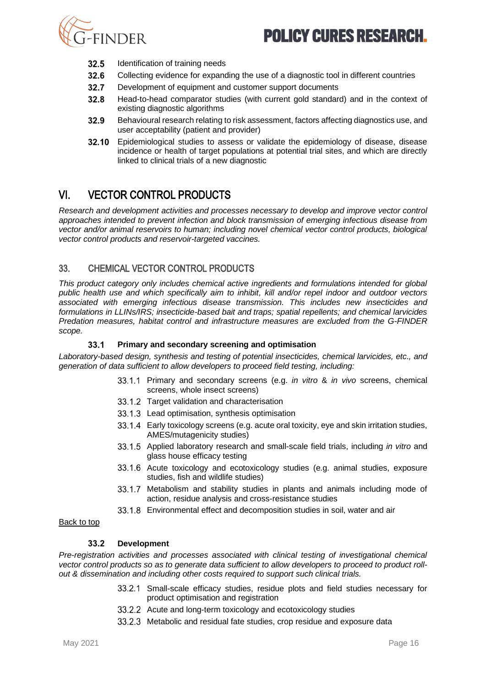

- 32.5 Identification of training needs
- 32.6 Collecting evidence for expanding the use of a diagnostic tool in different countries
- $32.7$ Development of equipment and customer support documents
- $32.8$ Head-to-head comparator studies (with current gold standard) and in the context of existing diagnostic algorithms
- $32.9$ Behavioural research relating to risk assessment, factors affecting diagnostics use, and user acceptability (patient and provider)
- 32.10 Epidemiological studies to assess or validate the epidemiology of disease, disease incidence or health of target populations at potential trial sites, and which are directly linked to clinical trials of a new diagnostic

# <span id="page-15-0"></span>VI. VECTOR CONTROL PRODUCTS

*Research and development activities and processes necessary to develop and improve vector control approaches intended to prevent infection and block transmission of emerging infectious disease from vector and/or animal reservoirs to human; including novel chemical vector control products, biological vector control products and reservoir-targeted vaccines.* 

# 33. CHEMICAL VECTOR CONTROL PRODUCTS

*This product category only includes chemical active ingredients and formulations intended for global public health use and which specifically aim to inhibit, kill and/or repel indoor and outdoor vectors associated with emerging infectious disease transmission. This includes new insecticides and formulations in LLINs/IRS; insecticide-based bait and traps; spatial repellents; and chemical larvicides Predation measures, habitat control and infrastructure measures are excluded from the G-FINDER scope.*

### $33.1$ **Primary and secondary screening and optimisation**

*Laboratory-based design, synthesis and testing of potential insecticides, chemical larvicides, etc., and generation of data sufficient to allow developers to proceed field testing, including:*

- Primary and secondary screens (e.g. *in vitro* & *in vivo* screens, chemical screens, whole insect screens)
- 33.1.2 Target validation and characterisation
- 33.1.3 Lead optimisation, synthesis optimisation
- Early toxicology screens (e.g. acute oral toxicity, eye and skin irritation studies, AMES/mutagenicity studies)
- Applied laboratory research and small-scale field trials, including *in vitro* and glass house efficacy testing
- 33.1.6 Acute toxicology and ecotoxicology studies (e.g. animal studies, exposure studies, fish and wildlife studies)
- 33.1.7 Metabolism and stability studies in plants and animals including mode of action, residue analysis and cross-resistance studies
- Environmental effect and decomposition studies in soil, water and air

## [Back to top](#page-0-1)

### $33.2$ **Development**

*Pre-registration activities and processes associated with clinical testing of investigational chemical vector control products so as to generate data sufficient to allow developers to proceed to product rollout & dissemination and including other costs required to support such clinical trials.* 

- 33.2.1 Small-scale efficacy studies, residue plots and field studies necessary for product optimisation and registration
- 33.2.2 Acute and long-term toxicology and ecotoxicology studies
- 33.2.3 Metabolic and residual fate studies, crop residue and exposure data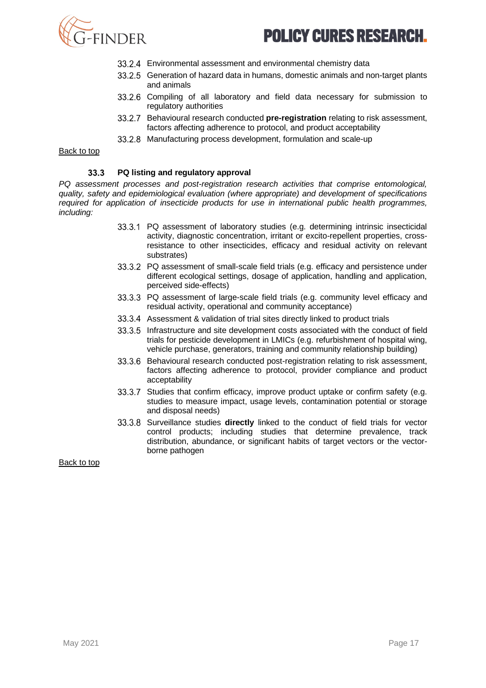



- Environmental assessment and environmental chemistry data
- Generation of hazard data in humans, domestic animals and non-target plants and animals
- 33.2.6 Compiling of all laboratory and field data necessary for submission to regulatory authorities
- Behavioural research conducted **pre-registration** relating to risk assessment, factors affecting adherence to protocol, and product acceptability
- 33.2.8 Manufacturing process development, formulation and scale-up

#### $33.3$ **PQ listing and regulatory approval**

*PQ assessment processes and post-registration research activities that comprise entomological, quality, safety and epidemiological evaluation (where appropriate) and development of specifications required for application of insecticide products for use in international public health programmes, including:*

- PQ assessment of laboratory studies (e.g. determining intrinsic insecticidal activity, diagnostic concentration, irritant or excito-repellent properties, crossresistance to other insecticides, efficacy and residual activity on relevant substrates)
- PQ assessment of small-scale field trials (e.g. efficacy and persistence under different ecological settings, dosage of application, handling and application, perceived side-effects)
- PQ assessment of large-scale field trials (e.g. community level efficacy and residual activity, operational and community acceptance)
- Assessment & validation of trial sites directly linked to product trials
- Infrastructure and site development costs associated with the conduct of field trials for pesticide development in LMICs (e.g. refurbishment of hospital wing, vehicle purchase, generators, training and community relationship building)
- 33.3.6 Behavioural research conducted post-registration relating to risk assessment, factors affecting adherence to protocol, provider compliance and product acceptability
- 33.3.7 Studies that confirm efficacy, improve product uptake or confirm safety (e.g. studies to measure impact, usage levels, contamination potential or storage and disposal needs)
- Surveillance studies **directly** linked to the conduct of field trials for vector control products; including studies that determine prevalence, track distribution, abundance, or significant habits of target vectors or the vectorborne pathogen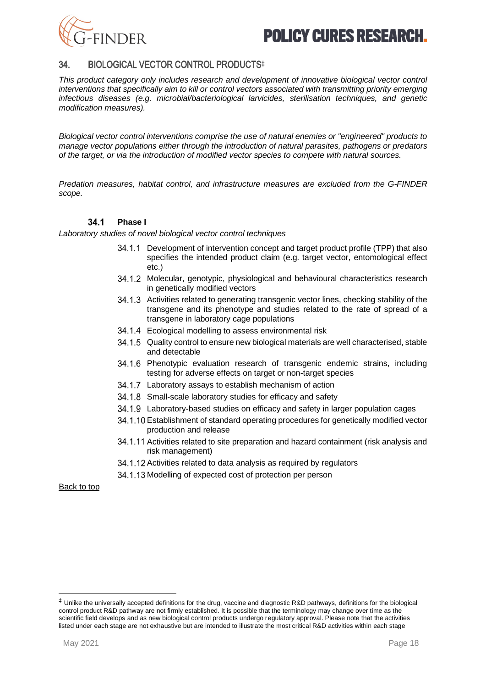

# 34. BIOLOGICAL VECTOR CONTROL PRODUCTS‡

*This product category only includes research and development of innovative biological vector control interventions that specifically aim to kill or control vectors associated with transmitting priority emerging infectious diseases (e.g. microbial/bacteriological larvicides, sterilisation techniques, and genetic modification measures).*

*Biological vector control interventions comprise the use of natural enemies or "engineered" products to manage vector populations either through the introduction of natural parasites, pathogens or predators of the target, or via the introduction of modified vector species to compete with natural sources.* 

*Predation measures, habitat control, and infrastructure measures are excluded from the G-FINDER scope.*

### $34.1$ **Phase I**

*Laboratory studies of novel biological vector control techniques* 

- 34.1.1 Development of intervention concept and target product profile (TPP) that also specifies the intended product claim (e.g. target vector, entomological effect etc.)
- 34.1.2 Molecular, genotypic, physiological and behavioural characteristics research in genetically modified vectors
- Activities related to generating transgenic vector lines, checking stability of the transgene and its phenotype and studies related to the rate of spread of a transgene in laboratory cage populations
- 34.1.4 Ecological modelling to assess environmental risk
- 34.1.5 Quality control to ensure new biological materials are well characterised, stable and detectable
- 34.1.6 Phenotypic evaluation research of transgenic endemic strains, including testing for adverse effects on target or non-target species
- 34.1.7 Laboratory assays to establish mechanism of action
- 34.1.8 Small-scale laboratory studies for efficacy and safety
- 34.1.9 Laboratory-based studies on efficacy and safety in larger population cages
- 34.1.10 Establishment of standard operating procedures for genetically modified vector production and release
- 34.1.11 Activities related to site preparation and hazard containment (risk analysis and risk management)
- 34.1.12 Activities related to data analysis as required by regulators
- 34.1.13 Modelling of expected cost of protection per person

<sup>‡</sup> Unlike the universally accepted definitions for the drug, vaccine and diagnostic R&D pathways, definitions for the biological control product R&D pathway are not firmly established. It is possible that the terminology may change over time as the scientific field develops and as new biological control products undergo regulatory approval. Please note that the activities listed under each stage are not exhaustive but are intended to illustrate the most critical R&D activities within each stage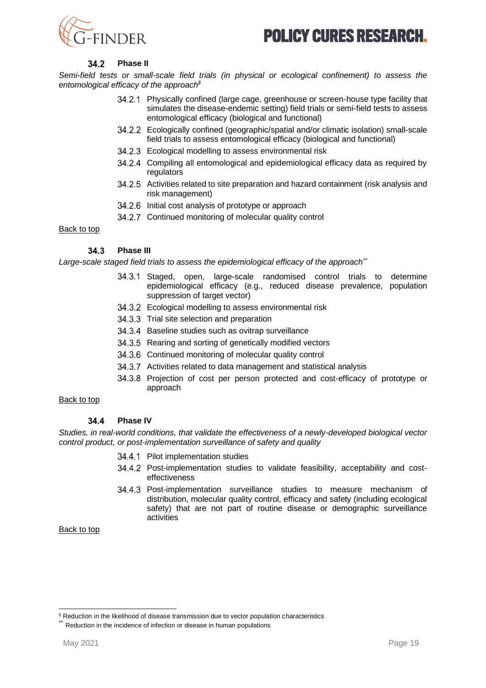



### 34.2 **Phase II**

*Semi-field tests or small-scale field trials (in physical or ecological confinement) to assess the entomological efficacy of the approach§*

- 34.2.1 Physically confined (large cage, greenhouse or screen-house type facility that simulates the disease-endemic setting) field trials or semi-field tests to assess entomological efficacy (biological and functional)
- Ecologically confined (geographic/spatial and/or climatic isolation) small-scale field trials to assess entomological efficacy (biological and functional)
- 34.2.3 Ecological modelling to assess environmental risk
- Compiling all entomological and epidemiological efficacy data as required by regulators
- 34.2.5 Activities related to site preparation and hazard containment (risk analysis and risk management)
- 34.2.6 Initial cost analysis of prototype or approach
- 34.2.7 Continued monitoring of molecular quality control

## [Back to top](#page-0-1)

### 34.3 **Phase III**

*Large-scale staged field trials to assess the epidemiological efficacy of the approach\*\**

- Staged, open, large-scale randomised control trials to determine epidemiological efficacy (e.g., reduced disease prevalence, population suppression of target vector)
- 34.3.2 Ecological modelling to assess environmental risk
- 34.3.3 Trial site selection and preparation
- 34.3.4 Baseline studies such as ovitrap surveillance
- 34.3.5 Rearing and sorting of genetically modified vectors
- 34.3.6 Continued monitoring of molecular quality control
- 34.3.7 Activities related to data management and statistical analysis
- 34.3.8 Projection of cost per person protected and cost-efficacy of prototype or approach

## [Back to top](#page-0-1)

### 34.4 **Phase IV**

*Studies, in real-world conditions, that validate the effectiveness of a newly-developed biological vector control product, or post-implementation surveillance of safety and quality* 

- 34.4.1 Pilot implementation studies
- 34.4.2 Post-implementation studies to validate feasibility, acceptability and costeffectiveness
- 34.4.3 Post-implementation surveillance studies to measure mechanism of distribution, molecular quality control, efficacy and safety (including ecological safety) that are not part of routine disease or demographic surveillance activities

<sup>§</sup> Reduction in the likelihood of disease transmission due to vector population characteristics

Reduction in the incidence of infection or disease in human populations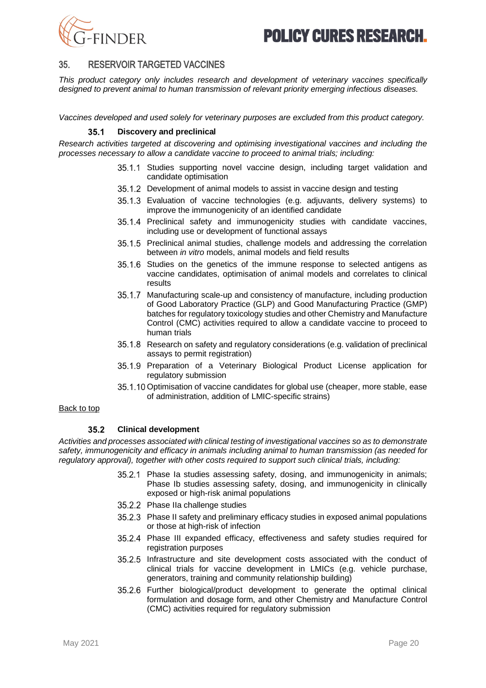

# 35. RESERVOIR TARGETED VACCINES

*This product category only includes research and development of veterinary vaccines specifically designed to prevent animal to human transmission of relevant priority emerging infectious diseases.*

*Vaccines developed and used solely for veterinary purposes are excluded from this product category.*

### $35.1$ **Discovery and preclinical**

*Research activities targeted at discovering and optimising investigational vaccines and including the processes necessary to allow a candidate vaccine to proceed to animal trials; including:*

- 35.1.1 Studies supporting novel vaccine design, including target validation and candidate optimisation
- 35.1.2 Development of animal models to assist in vaccine design and testing
- Evaluation of vaccine technologies (e.g. adjuvants, delivery systems) to improve the immunogenicity of an identified candidate
- 35.1.4 Preclinical safety and immunogenicity studies with candidate vaccines, including use or development of functional assays
- 35.1.5 Preclinical animal studies, challenge models and addressing the correlation between *in vitro* models, animal models and field results
- 35.1.6 Studies on the genetics of the immune response to selected antigens as vaccine candidates, optimisation of animal models and correlates to clinical results
- 35.1.7 Manufacturing scale-up and consistency of manufacture, including production of Good Laboratory Practice (GLP) and Good Manufacturing Practice (GMP) batches for regulatory toxicology studies and other Chemistry and Manufacture Control (CMC) activities required to allow a candidate vaccine to proceed to human trials
- 35.1.8 Research on safety and regulatory considerations (e.g. validation of preclinical assays to permit registration)
- 35.1.9 Preparation of a Veterinary Biological Product License application for regulatory submission
- 35.1.10 Optimisation of vaccine candidates for global use (cheaper, more stable, ease of administration, addition of LMIC-specific strains)

## [Back to top](#page-0-1)

### $35.2$ **Clinical development**

*Activities and processes associated with clinical testing of investigational vaccines so as to demonstrate safety, immunogenicity and efficacy in animals including animal to human transmission (as needed for regulatory approval), together with other costs required to support such clinical trials, including:*

- 35.2.1 Phase Ia studies assessing safety, dosing, and immunogenicity in animals; Phase Ib studies assessing safety, dosing, and immunogenicity in clinically exposed or high-risk animal populations
- 35.2.2 Phase IIa challenge studies
- 35.2.3 Phase II safety and preliminary efficacy studies in exposed animal populations or those at high-risk of infection
- 35.2.4 Phase III expanded efficacy, effectiveness and safety studies required for registration purposes
- Infrastructure and site development costs associated with the conduct of clinical trials for vaccine development in LMICs (e.g. vehicle purchase, generators, training and community relationship building)
- Further biological/product development to generate the optimal clinical formulation and dosage form, and other Chemistry and Manufacture Control (CMC) activities required for regulatory submission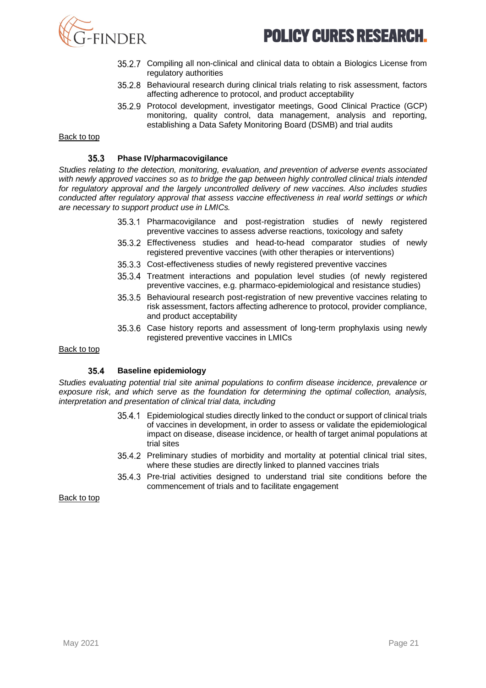

- Compiling all non-clinical and clinical data to obtain a Biologics License from regulatory authorities
- 35.2.8 Behavioural research during clinical trials relating to risk assessment, factors affecting adherence to protocol, and product acceptability
- Protocol development, investigator meetings, Good Clinical Practice (GCP) monitoring, quality control, data management, analysis and reporting, establishing a Data Safety Monitoring Board (DSMB) and trial audits

### 35.3 **Phase IV/pharmacovigilance**

*Studies relating to the detection, monitoring, evaluation, and prevention of adverse events associated with newly approved vaccines so as to bridge the gap between highly controlled clinical trials intended for regulatory approval and the largely uncontrolled delivery of new vaccines. Also includes studies conducted after regulatory approval that assess vaccine effectiveness in real world settings or which are necessary to support product use in LMICs.*

- Pharmacovigilance and post-registration studies of newly registered preventive vaccines to assess adverse reactions, toxicology and safety
- Effectiveness studies and head-to-head comparator studies of newly registered preventive vaccines (with other therapies or interventions)
- 35.3.3 Cost-effectiveness studies of newly registered preventive vaccines
- 35.3.4 Treatment interactions and population level studies (of newly registered preventive vaccines, e.g. pharmaco-epidemiological and resistance studies)
- Behavioural research post-registration of new preventive vaccines relating to risk assessment, factors affecting adherence to protocol, provider compliance, and product acceptability
- 35.3.6 Case history reports and assessment of long-term prophylaxis using newly registered preventive vaccines in LMICs

[Back to top](#page-0-1)

### 35.4 **Baseline epidemiology**

*Studies evaluating potential trial site animal populations to confirm disease incidence, prevalence or exposure risk, and which serve as the foundation for determining the optimal collection, analysis, interpretation and presentation of clinical trial data, including* 

- Epidemiological studies directly linked to the conduct or support of clinical trials of vaccines in development, in order to assess or validate the epidemiological impact on disease, disease incidence, or health of target animal populations at trial sites
- 35.4.2 Preliminary studies of morbidity and mortality at potential clinical trial sites, where these studies are directly linked to planned vaccines trials
- 35.4.3 Pre-trial activities designed to understand trial site conditions before the commencement of trials and to facilitate engagement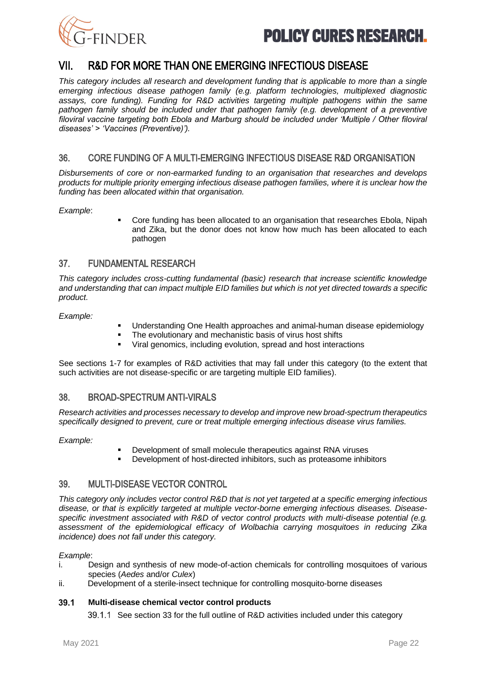

# <span id="page-21-0"></span>VII. R&D FOR MORE THAN ONE EMERGING INFECTIOUS DISEASE

*This category includes all research and development funding that is applicable to more than a single emerging infectious disease pathogen family (e.g. platform technologies, multiplexed diagnostic assays, core funding). Funding for R&D activities targeting multiple pathogens within the same pathogen family should be included under that pathogen family (e.g. development of a preventive filoviral vaccine targeting both Ebola and Marburg should be included under 'Multiple / Other filoviral diseases' > 'Vaccines (Preventive)').*

# 36. CORE FUNDING OF A MULTI-EMERGING INFECTIOUS DISEASE R&D ORGANISATION

*Disbursements of core or non-earmarked funding to an organisation that researches and develops products for multiple priority emerging infectious disease pathogen families, where it is unclear how the funding has been allocated within that organisation.* 

*Example*:

Core funding has been allocated to an organisation that researches Ebola, Nipah and Zika, but the donor does not know how much has been allocated to each pathogen

# 37. FUNDAMENTAL RESEARCH

*This category includes cross-cutting fundamental (basic) research that increase scientific knowledge and understanding that can impact multiple EID families but which is not yet directed towards a specific product.*

*Example:*

- Understanding One Health approaches and animal-human disease epidemiology
- The evolutionary and mechanistic basis of virus host shifts
- Viral genomics, including evolution, spread and host interactions

See sections 1-7 for examples of R&D activities that may fall under this category (to the extent that such activities are not disease-specific or are targeting multiple EID families).

# 38. BROAD-SPECTRUM ANTI-VIRALS

*Research activities and processes necessary to develop and improve new broad-spectrum therapeutics specifically designed to prevent, cure or treat multiple emerging infectious disease virus families.*

*Example:*

- Development of small molecule therapeutics against RNA viruses
- Development of host-directed inhibitors, such as proteasome inhibitors

# 39. MULTI-DISEASE VECTOR CONTROL

*This category only includes vector control R&D that is not yet targeted at a specific emerging infectious disease, or that is explicitly targeted at multiple vector-borne emerging infectious diseases. Diseasespecific investment associated with R&D of vector control products with multi-disease potential (e.g. assessment of the epidemiological efficacy of Wolbachia carrying mosquitoes in reducing Zika incidence) does not fall under this category.*

## *Example*:

- i. Design and synthesis of new mode-of-action chemicals for controlling mosquitoes of various species (*Aedes* and/or *Culex*)
- ii. Development of a sterile-insect technique for controlling mosquito-borne diseases

#### 39.1 **Multi-disease chemical vector control products**

See section 33 for the full outline of R&D activities included under this category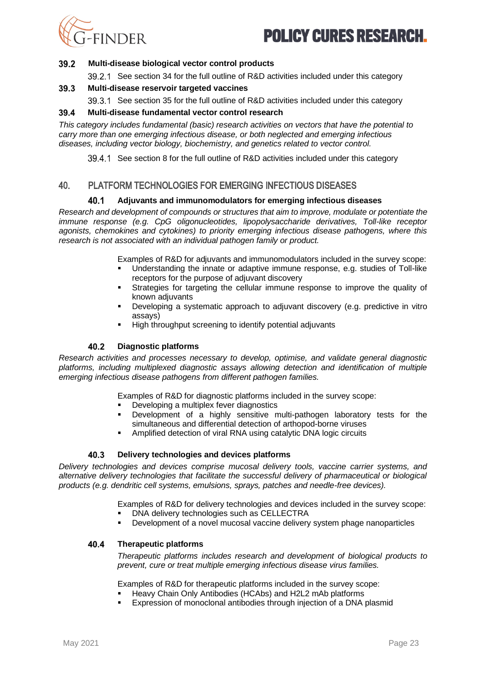

### 39.2 **Multi-disease biological vector control products**

See section 34 for the full outline of R&D activities included under this category

### 39.3 **Multi-disease reservoir targeted vaccines**

See section 35 for the full outline of R&D activities included under this category

#### 39.4 **Multi-disease fundamental vector control research**

*This category includes fundamental (basic) research activities on vectors that have the potential to carry more than one emerging infectious disease, or both neglected and emerging infectious diseases, including vector biology, biochemistry, and genetics related to vector control.*

See section 8 for the full outline of R&D activities included under this category

# 40. PLATFORM TECHNOLOGIES FOR EMERGING INFECTIOUS DISEASES

### **Adjuvants and immunomodulators for emerging infectious diseases**  40.1

*Research and development of compounds or structures that aim to improve, modulate or potentiate the immune response (e.g. CpG oligonucleotides, lipopolysaccharide derivatives, Toll-like receptor agonists, chemokines and cytokines) to priority emerging infectious disease pathogens, where this research is not associated with an individual pathogen family or product.* 

Examples of R&D for adjuvants and immunomodulators included in the survey scope:

- Understanding the innate or adaptive immune response, e.g. studies of Toll-like receptors for the purpose of adjuvant discovery
- Strategies for targeting the cellular immune response to improve the quality of known adjuvants
- Developing a systematic approach to adjuvant discovery (e.g. predictive in vitro assays)
- High throughput screening to identify potential adjuvants

#### 40.2 **Diagnostic platforms**

*Research activities and processes necessary to develop, optimise, and validate general diagnostic platforms, including multiplexed diagnostic assays allowing detection and identification of multiple emerging infectious disease pathogens from different pathogen families.*

Examples of R&D for diagnostic platforms included in the survey scope:

- Developing a multiplex fever diagnostics
- Development of a highly sensitive multi-pathogen laboratory tests for the simultaneous and differential detection of arthopod-borne viruses
- Amplified detection of viral RNA using catalytic DNA logic circuits

### 40.3 **Delivery technologies and devices platforms**

*Delivery technologies and devices comprise mucosal delivery tools, vaccine carrier systems, and alternative delivery technologies that facilitate the successful delivery of pharmaceutical or biological products (e.g. dendritic cell systems, emulsions, sprays, patches and needle-free devices).*

Examples of R&D for delivery technologies and devices included in the survey scope:

- **DNA delivery technologies such as CELLECTRA**
- Development of a novel mucosal vaccine delivery system phage nanoparticles

### 40.4 **Therapeutic platforms**

*Therapeutic platforms includes research and development of biological products to prevent, cure or treat multiple emerging infectious disease virus families.*

Examples of R&D for therapeutic platforms included in the survey scope:

- Heavy Chain Only Antibodies (HCAbs) and H2L2 mAb platforms
- Expression of monoclonal antibodies through injection of a DNA plasmid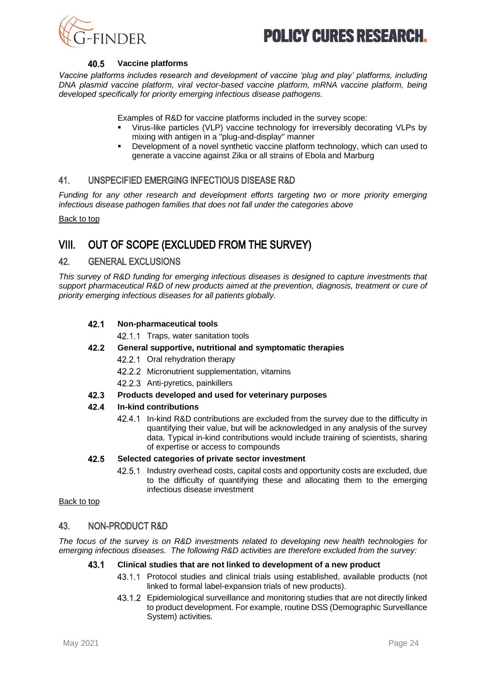



### 40.5 **Vaccine platforms**

*Vaccine platforms includes research and development of vaccine 'plug and play' platforms, including DNA plasmid vaccine platform, viral vector-based vaccine platform, mRNA vaccine platform, being developed specifically for priority emerging infectious disease pathogens.*

Examples of R&D for vaccine platforms included in the survey scope:

- Virus-like particles (VLP) vaccine technology for irreversibly decorating VLPs by mixing with antigen in a "plug-and-display" manner
- Development of a novel synthetic vaccine platform technology, which can used to generate a vaccine against Zika or all strains of Ebola and Marburg

# 41. UNSPECIFIED EMERGING INFECTIOUS DISEASE R&D

*Funding for any other research and development efforts targeting two or more priority emerging infectious disease pathogen families that does not fall under the categories above*

[Back to top](#page-0-1)

# <span id="page-23-0"></span>VIII. OUT OF SCOPE (EXCLUDED FROM THE SURVEY)

# 42. GENERAL EXCLUSIONS

*This survey of R&D funding for emerging infectious diseases is designed to capture investments that support pharmaceutical R&D of new products aimed at the prevention, diagnosis, treatment or cure of priority emerging infectious diseases for all patients globally.*

### $42.1$ **Non-pharmaceutical tools**

42.1.1 Traps, water sanitation tools

### $42.2$ **General supportive, nutritional and symptomatic therapies**

- 42.2.1 Oral rehydration therapy
- 42.2.2 Micronutrient supplementation, vitamins
- 42.2.3 Anti-pyretics, painkillers

### 42.3 **Products developed and used for veterinary purposes**

### $42.4$ **In-kind contributions**

In-kind R&D contributions are excluded from the survey due to the difficulty in quantifying their value, but will be acknowledged in any analysis of the survey data. Typical in-kind contributions would include training of scientists, sharing of expertise or access to compounds

#### 42.5 **Selected categories of private sector investment**

Industry overhead costs, capital costs and opportunity costs are excluded, due to the difficulty of quantifying these and allocating them to the emerging infectious disease investment

[Back to top](#page-0-1)

# 43. NON-PRODUCT R&D

*The focus of the survey is on R&D investments related to developing new health technologies for emerging infectious diseases. The following R&D activities are therefore excluded from the survey:*

#### 43.1 **Clinical studies that are not linked to development of a new product**

- 43.1.1 Protocol studies and clinical trials using established, available products (not linked to formal label-expansion trials of new products).
- Epidemiological surveillance and monitoring studies that are not directly linked to product development. For example, routine DSS (Demographic Surveillance System) activities.